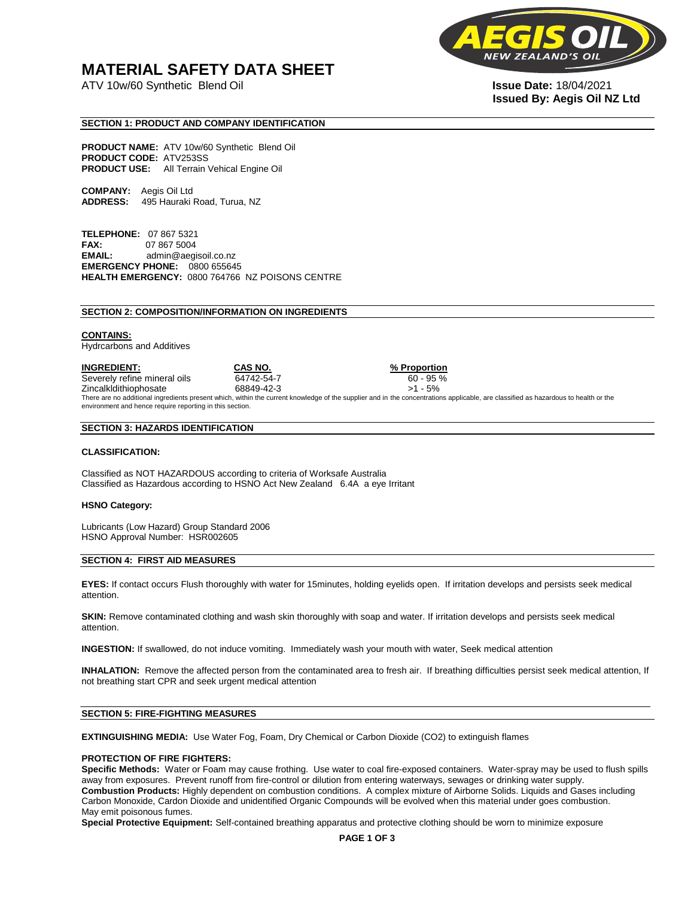# **MATERIAL SAFETY DATA SHEET**

ATV 10w/60 Synthetic Blend Oil **Issue Date:** 18/04/2021



# **Issued By: Aegis Oil NZ Ltd**

# **SECTION 1: PRODUCT AND COMPANY IDENTIFICATION**

**PRODUCT NAME:** ATV 10w/60 Synthetic Blend Oil **PRODUCT CODE:** ATV253SS **PRODUCT USE:** All Terrain Vehical Engine Oil

**COMPANY:** Aegis Oil Ltd **ADDRESS:** 495 Hauraki Road, Turua, NZ

**TELEPHONE:** 07 867 5321 **FAX:** 07 867 5004 **EMAIL:** admin@aegisoil.co.nz **EMERGENCY PHONE:** 0800 655645 **HEALTH EMERGENCY:** 0800 764766 NZ POISONS CENTRE

#### **SECTION 2: COMPOSITION/INFORMATION ON INGREDIENTS**

#### **CONTAINS:**

Hydrcarbons and Additives

**INGREDIENT: CAS NO. % Proportion**  Severely refine mineral oils 64742-54-7 60 - 95 % Zincalkldithiophosate 68849-42-3 >1 - 5% There are no additional ingredients present which, within the current knowledge of the supplier and in the concentrations applicable, are classified as hazardous to health or the environment and hence require reporting in this section.

#### **SECTION 3: HAZARDS IDENTIFICATION**

#### **CLASSIFICATION:**

Classified as NOT HAZARDOUS according to criteria of Worksafe Australia Classified as Hazardous according to HSNO Act New Zealand 6.4A a eye Irritant

#### **HSNO Category:**

Lubricants (Low Hazard) Group Standard 2006 HSNO Approval Number: HSR002605

#### **SECTION 4: FIRST AID MEASURES**

**EYES:** If contact occurs Flush thoroughly with water for 15minutes, holding eyelids open. If irritation develops and persists seek medical attention.

**SKIN:** Remove contaminated clothing and wash skin thoroughly with soap and water. If irritation develops and persists seek medical attention.

**INGESTION:** If swallowed, do not induce vomiting. Immediately wash your mouth with water, Seek medical attention

**INHALATION:** Remove the affected person from the contaminated area to fresh air. If breathing difficulties persist seek medical attention, If not breathing start CPR and seek urgent medical attention

# **SECTION 5: FIRE-FIGHTING MEASURES**

**EXTINGUISHING MEDIA:** Use Water Fog, Foam, Dry Chemical or Carbon Dioxide (CO2) to extinguish flames

# **PROTECTION OF FIRE FIGHTERS:**

**Specific Methods:** Water or Foam may cause frothing. Use water to coal fire-exposed containers. Water-spray may be used to flush spills away from exposures. Prevent runoff from fire-control or dilution from entering waterways, sewages or drinking water supply. **Combustion Products:** Highly dependent on combustion conditions. A complex mixture of Airborne Solids. Liquids and Gases including Carbon Monoxide, Cardon Dioxide and unidentified Organic Compounds will be evolved when this material under goes combustion. May emit poisonous fumes.

**Special Protective Equipment:** Self-contained breathing apparatus and protective clothing should be worn to minimize exposure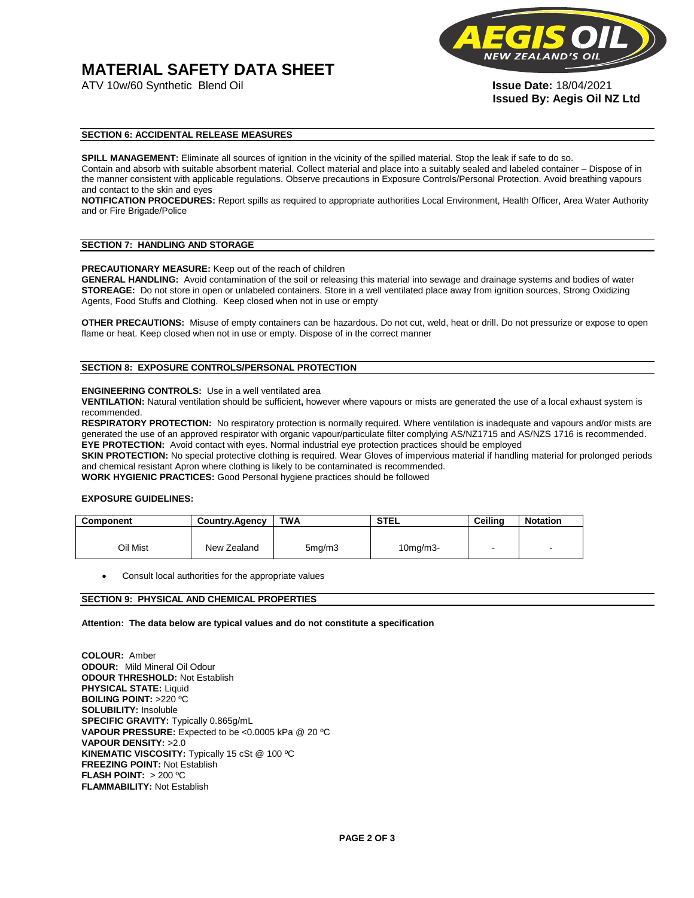# **MATERIAL SAFETY DATA SHEET**

ATV 10w/60 Synthetic Blend Oil **Issue Date:** 18/04/2021



**Issued By: Aegis Oil NZ Ltd** 

# **SECTION 6: ACCIDENTAL RELEASE MEASURES**

**SPILL MANAGEMENT:** Eliminate all sources of ignition in the vicinity of the spilled material. Stop the leak if safe to do so. Contain and absorb with suitable absorbent material. Collect material and place into a suitably sealed and labeled container – Dispose of in the manner consistent with applicable regulations. Observe precautions in Exposure Controls/Personal Protection. Avoid breathing vapours and contact to the skin and eyes

**NOTIFICATION PROCEDURES:** Report spills as required to appropriate authorities Local Environment, Health Officer, Area Water Authority and or Fire Brigade/Police

#### **SECTION 7: HANDLING AND STORAGE**

**PRECAUTIONARY MEASURE:** Keep out of the reach of children

**GENERAL HANDLING:** Avoid contamination of the soil or releasing this material into sewage and drainage systems and bodies of water **STOREAGE:** Do not store in open or unlabeled containers. Store in a well ventilated place away from ignition sources, Strong Oxidizing Agents, Food Stuffs and Clothing. Keep closed when not in use or empty

**OTHER PRECAUTIONS:** Misuse of empty containers can be hazardous. Do not cut, weld, heat or drill. Do not pressurize or expose to open flame or heat. Keep closed when not in use or empty. Dispose of in the correct manner

# **SECTION 8: EXPOSURE CONTROLS/PERSONAL PROTECTION**

#### **ENGINEERING CONTROLS:** Use in a well ventilated area

**VENTILATION:** Natural ventilation should be sufficient**,** however where vapours or mists are generated the use of a local exhaust system is recommended.

**RESPIRATORY PROTECTION:** No respiratory protection is normally required. Where ventilation is inadequate and vapours and/or mists are generated the use of an approved respirator with organic vapour/particulate filter complying AS/NZ1715 and AS/NZS 1716 is recommended. **EYE PROTECTION:** Avoid contact with eyes. Normal industrial eye protection practices should be employed

**SKIN PROTECTION:** No special protective clothing is required. Wear Gloves of impervious material if handling material for prolonged periods and chemical resistant Apron where clothing is likely to be contaminated is recommended.

**WORK HYGIENIC PRACTICES:** Good Personal hygiene practices should be followed

# **EXPOSURE GUIDELINES:**

| <b>Component</b> | <b>Country.Agency</b> | <b>TWA</b>          | <b>STEL</b>    | Ceilina | <b>Notation</b>          |
|------------------|-----------------------|---------------------|----------------|---------|--------------------------|
|                  |                       |                     |                |         |                          |
| Oil Mist         | New Zealand           | 5 <sub>mq</sub> /m3 | $10$ mg/m $3-$ |         | $\overline{\phantom{a}}$ |

Consult local authorities for the appropriate values

# **SECTION 9: PHYSICAL AND CHEMICAL PROPERTIES**

**Attention: The data below are typical values and do not constitute a specification** 

**COLOUR:** Amber **ODOUR:** Mild Mineral Oil Odour **ODOUR THRESHOLD:** Not Establish **PHYSICAL STATE:** Liquid **BOILING POINT:** >220 ºC **SOLUBILITY:** Insoluble **SPECIFIC GRAVITY:** Typically 0.865g/mL **VAPOUR PRESSURE:** Expected to be <0.0005 kPa @ 20 ºC **VAPOUR DENSITY:** >2.0 **KINEMATIC VISCOSITY:** Typically 15 cSt @ 100 ºC **FREEZING POINT: Not Establish FLASH POINT:** > 200 ºC **FLAMMABILITY:** Not Establish